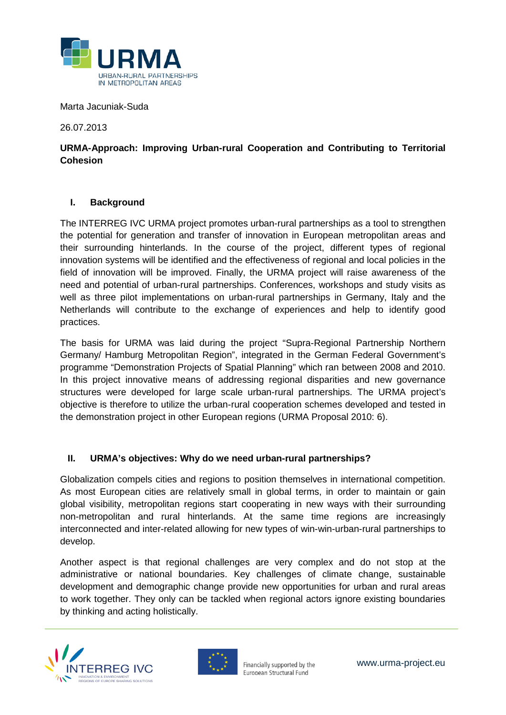

Marta Jacuniak-Suda

26.07.2013

# **URMA-Approach: Improving Urban-rural Cooperation and Contributing to Territorial Cohesion**

## **I. Background**

The INTERREG IVC URMA project promotes urban-rural partnerships as a tool to strengthen the potential for generation and transfer of innovation in European metropolitan areas and their surrounding hinterlands. In the course of the project, different types of regional innovation systems will be identified and the effectiveness of regional and local policies in the field of innovation will be improved. Finally, the URMA project will raise awareness of the need and potential of urban-rural partnerships. Conferences, workshops and study visits as well as three pilot implementations on urban-rural partnerships in Germany, Italy and the Netherlands will contribute to the exchange of experiences and help to identify good practices.

The basis for URMA was laid during the project "Supra-Regional Partnership Northern Germany/ Hamburg Metropolitan Region", integrated in the German Federal Government's programme "Demonstration Projects of Spatial Planning" which ran between 2008 and 2010. In this project innovative means of addressing regional disparities and new governance structures were developed for large scale urban-rural partnerships. The URMA project's objective is therefore to utilize the urban-rural cooperation schemes developed and tested in the demonstration project in other European regions (URMA Proposal 2010: 6).

## **II. URMA's objectives: Why do we need urban-rural partnerships?**

Globalization compels cities and regions to position themselves in international competition. As most European cities are relatively small in global terms, in order to maintain or gain global visibility, metropolitan regions start cooperating in new ways with their surrounding non-metropolitan and rural hinterlands. At the same time regions are increasingly interconnected and inter-related allowing for new types of win-win-urban-rural partnerships to develop.

Another aspect is that regional challenges are very complex and do not stop at the administrative or national boundaries. Key challenges of climate change, sustainable development and demographic change provide new opportunities for urban and rural areas to work together. They only can be tackled when regional actors ignore existing boundaries by thinking and acting holistically.



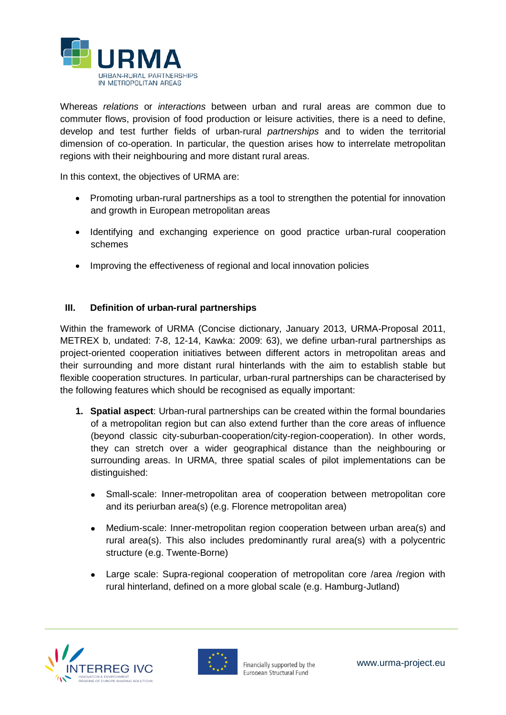

Whereas *relations* or *interactions* between urban and rural areas are common due to commuter flows, provision of food production or leisure activities, there is a need to define, develop and test further fields of urban-rural *partnerships* and to widen the territorial dimension of co-operation. In particular, the question arises how to interrelate metropolitan regions with their neighbouring and more distant rural areas.

In this context, the objectives of URMA are:

- Promoting urban-rural partnerships as a tool to strengthen the potential for innovation and growth in European metropolitan areas
- Identifying and exchanging experience on good practice urban-rural cooperation schemes
- Improving the effectiveness of regional and local innovation policies

## **III. Definition of urban-rural partnerships**

Within the framework of URMA (Concise dictionary, January 2013, URMA-Proposal 2011, METREX b, undated: 7-8, 12-14, Kawka: 2009: 63), we define urban-rural partnerships as project-oriented cooperation initiatives between different actors in metropolitan areas and their surrounding and more distant rural hinterlands with the aim to establish stable but flexible cooperation structures. In particular, urban-rural partnerships can be characterised by the following features which should be recognised as equally important:

- **1. Spatial aspect**: Urban-rural partnerships can be created within the formal boundaries of a metropolitan region but can also extend further than the core areas of influence (beyond classic city-suburban-cooperation/city-region-cooperation). In other words, they can stretch over a wider geographical distance than the neighbouring or surrounding areas. In URMA, three spatial scales of pilot implementations can be distinguished:
	- Small-scale: Inner-metropolitan area of cooperation between metropolitan core and its periurban area(s) (e.g. Florence metropolitan area)
	- Medium-scale: Inner-metropolitan region cooperation between urban area(s) and rural area(s). This also includes predominantly rural area(s) with a polycentric structure (e.g. Twente-Borne)
	- Large scale: Supra-regional cooperation of metropolitan core /area /region with rural hinterland, defined on a more global scale (e.g. Hamburg-Jutland)



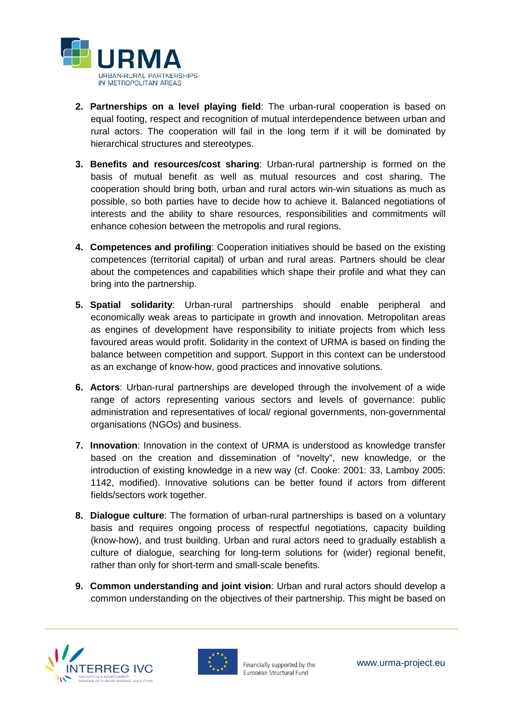

- **2. Partnerships on a level playing field**: The urban-rural cooperation is based on equal footing, respect and recognition of mutual interdependence between urban and rural actors. The cooperation will fail in the long term if it will be dominated by hierarchical structures and stereotypes.
- **3. Benefits and resources/cost sharing**: Urban-rural partnership is formed on the basis of mutual benefit as well as mutual resources and cost sharing. The cooperation should bring both, urban and rural actors win-win situations as much as possible, so both parties have to decide how to achieve it. Balanced negotiations of interests and the ability to share resources, responsibilities and commitments will enhance cohesion between the metropolis and rural regions.
- **4. Competences and profiling**: Cooperation initiatives should be based on the existing competences (territorial capital) of urban and rural areas. Partners should be clear about the competences and capabilities which shape their profile and what they can bring into the partnership.
- **5. Spatial solidarity**: Urban-rural partnerships should enable peripheral and economically weak areas to participate in growth and innovation. Metropolitan areas as engines of development have responsibility to initiate projects from which less favoured areas would profit. Solidarity in the context of URMA is based on finding the balance between competition and support. Support in this context can be understood as an exchange of know-how, good practices and innovative solutions.
- **6. Actors**: Urban-rural partnerships are developed through the involvement of a wide range of actors representing various sectors and levels of governance: public administration and representatives of local/ regional governments, non-governmental organisations (NGOs) and business.
- **7. Innovation**: Innovation in the context of URMA is understood as knowledge transfer based on the creation and dissemination of "novelty", new knowledge, or the introduction of existing knowledge in a new way (cf. Cooke: 2001: 33, Lamboy 2005: 1142, modified). Innovative solutions can be better found if actors from different fields/sectors work together.
- **8. Dialogue culture**: The formation of urban-rural partnerships is based on a voluntary basis and requires ongoing process of respectful negotiations, capacity building (know-how), and trust building. Urban and rural actors need to gradually establish a culture of dialogue, searching for long-term solutions for (wider) regional benefit, rather than only for short-term and small-scale benefits.
- **9. Common understanding and joint vision**: Urban and rural actors should develop a common understanding on the objectives of their partnership. This might be based on